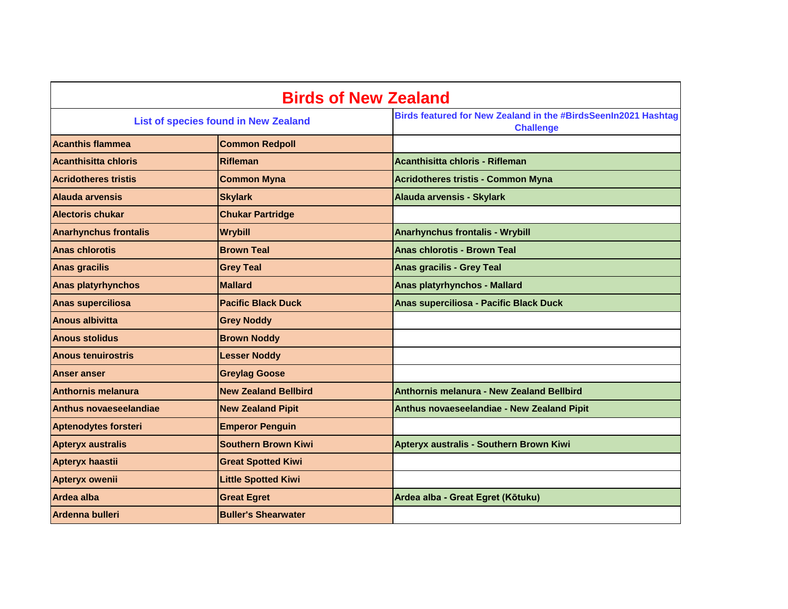| <b>Birds of New Zealand</b>                 |                             |                                                                                    |
|---------------------------------------------|-----------------------------|------------------------------------------------------------------------------------|
| <b>List of species found in New Zealand</b> |                             | Birds featured for New Zealand in the #BirdsSeenIn2021 Hashtag<br><b>Challenge</b> |
| <b>Acanthis flammea</b>                     | <b>Common Redpoll</b>       |                                                                                    |
| <b>Acanthisitta chloris</b>                 | <b>Rifleman</b>             | <b>Acanthisitta chloris - Rifleman</b>                                             |
| <b>Acridotheres tristis</b>                 | <b>Common Myna</b>          | <b>Acridotheres tristis - Common Myna</b>                                          |
| Alauda arvensis                             | <b>Skylark</b>              | Alauda arvensis - Skylark                                                          |
| <b>Alectoris chukar</b>                     | <b>Chukar Partridge</b>     |                                                                                    |
| <b>Anarhynchus frontalis</b>                | <b>Wrybill</b>              | <b>Anarhynchus frontalis - Wrybill</b>                                             |
| <b>Anas chlorotis</b>                       | <b>Brown Teal</b>           | <b>Anas chlorotis - Brown Teal</b>                                                 |
| <b>Anas gracilis</b>                        | <b>Grey Teal</b>            | <b>Anas gracilis - Grey Teal</b>                                                   |
| <b>Anas platyrhynchos</b>                   | <b>Mallard</b>              | <b>Anas platyrhynchos - Mallard</b>                                                |
| Anas superciliosa                           | <b>Pacific Black Duck</b>   | Anas superciliosa - Pacific Black Duck                                             |
| <b>Anous albivitta</b>                      | <b>Grey Noddy</b>           |                                                                                    |
| <b>Anous stolidus</b>                       | <b>Brown Noddy</b>          |                                                                                    |
| <b>Anous tenuirostris</b>                   | <b>Lesser Noddy</b>         |                                                                                    |
| <b>Anser anser</b>                          | <b>Greylag Goose</b>        |                                                                                    |
| <b>Anthornis melanura</b>                   | <b>New Zealand Bellbird</b> | <b>Anthornis melanura - New Zealand Bellbird</b>                                   |
| <b>Anthus novaeseelandiae</b>               | <b>New Zealand Pipit</b>    | Anthus novaeseelandiae - New Zealand Pipit                                         |
| <b>Aptenodytes forsteri</b>                 | <b>Emperor Penguin</b>      |                                                                                    |
| <b>Apteryx australis</b>                    | <b>Southern Brown Kiwi</b>  | Apteryx australis - Southern Brown Kiwi                                            |
| Apteryx haastii                             | <b>Great Spotted Kiwi</b>   |                                                                                    |
| Apteryx owenii                              | <b>Little Spotted Kiwi</b>  |                                                                                    |
| Ardea alba                                  | <b>Great Egret</b>          | Ardea alba - Great Egret (Kōtuku)                                                  |
| <b>Ardenna bulleri</b>                      | <b>Buller's Shearwater</b>  |                                                                                    |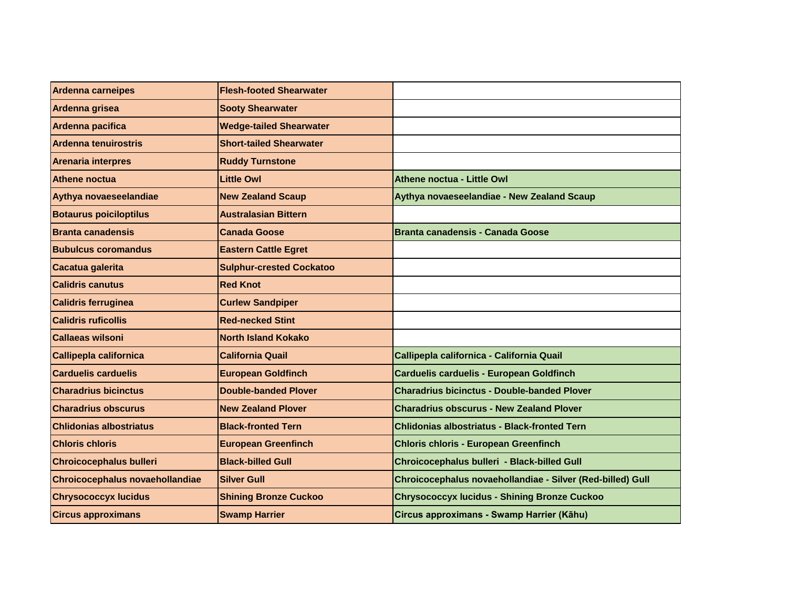| <b>Ardenna carneipes</b>        | <b>Flesh-footed Shearwater</b>  |                                                            |
|---------------------------------|---------------------------------|------------------------------------------------------------|
| Ardenna grisea                  | <b>Sooty Shearwater</b>         |                                                            |
| Ardenna pacifica                | <b>Wedge-tailed Shearwater</b>  |                                                            |
| <b>Ardenna tenuirostris</b>     | <b>Short-tailed Shearwater</b>  |                                                            |
| Arenaria interpres              | <b>Ruddy Turnstone</b>          |                                                            |
| Athene noctua                   | <b>Little Owl</b>               | Athene noctua - Little Owl                                 |
| Aythya novaeseelandiae          | <b>New Zealand Scaup</b>        | Aythya novaeseelandiae - New Zealand Scaup                 |
| <b>Botaurus poiciloptilus</b>   | <b>Australasian Bittern</b>     |                                                            |
| <b>Branta canadensis</b>        | <b>Canada Goose</b>             | <b>Branta canadensis - Canada Goose</b>                    |
| <b>Bubulcus coromandus</b>      | <b>Eastern Cattle Egret</b>     |                                                            |
| Cacatua galerita                | <b>Sulphur-crested Cockatoo</b> |                                                            |
| <b>Calidris canutus</b>         | <b>Red Knot</b>                 |                                                            |
| <b>Calidris ferruginea</b>      | <b>Curlew Sandpiper</b>         |                                                            |
| <b>Calidris ruficollis</b>      | <b>Red-necked Stint</b>         |                                                            |
| <b>Callaeas wilsoni</b>         | <b>North Island Kokako</b>      |                                                            |
| Callipepla californica          | <b>California Quail</b>         | Callipepla californica - California Quail                  |
| <b>Carduelis carduelis</b>      | <b>European Goldfinch</b>       | Carduelis carduelis - European Goldfinch                   |
| <b>Charadrius bicinctus</b>     | <b>Double-banded Plover</b>     | <b>Charadrius bicinctus - Double-banded Plover</b>         |
| <b>Charadrius obscurus</b>      | <b>New Zealand Plover</b>       | <b>Charadrius obscurus - New Zealand Plover</b>            |
| <b>Chlidonias albostriatus</b>  | <b>Black-fronted Tern</b>       | <b>Chlidonias albostriatus - Black-fronted Tern</b>        |
| <b>Chloris chloris</b>          | <b>European Greenfinch</b>      | <b>Chloris chloris - European Greenfinch</b>               |
| <b>Chroicocephalus bulleri</b>  | <b>Black-billed Gull</b>        | Chroicocephalus bulleri - Black-billed Gull                |
| Chroicocephalus novaehollandiae | <b>Silver Gull</b>              | Chroicocephalus novaehollandiae - Silver (Red-billed) Gull |
| <b>Chrysococcyx lucidus</b>     | <b>Shining Bronze Cuckoo</b>    | <b>Chrysococcyx lucidus - Shining Bronze Cuckoo</b>        |
| <b>Circus approximans</b>       | <b>Swamp Harrier</b>            | Circus approximans - Swamp Harrier (Kāhu)                  |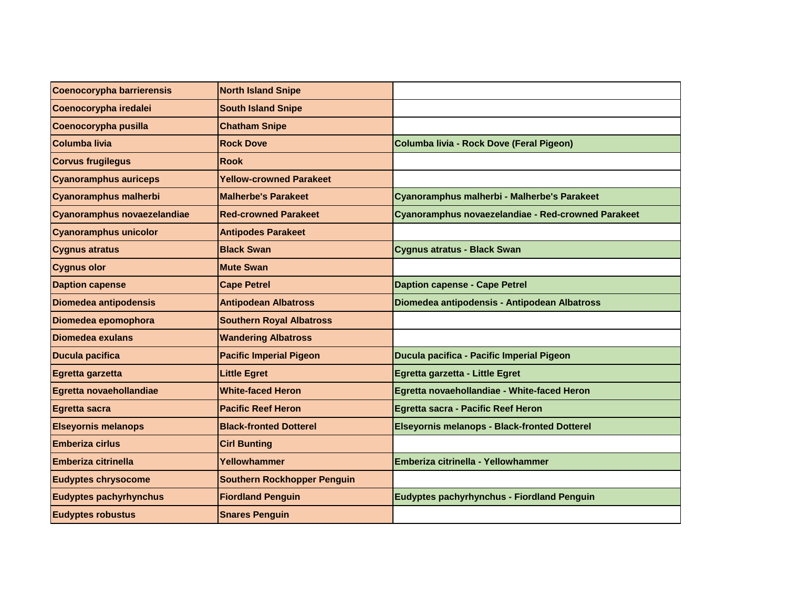| Coenocorypha barrierensis     | <b>North Island Snipe</b>          |                                                     |
|-------------------------------|------------------------------------|-----------------------------------------------------|
| Coenocorypha iredalei         | <b>South Island Snipe</b>          |                                                     |
| Coenocorypha pusilla          | <b>Chatham Snipe</b>               |                                                     |
| Columba livia                 | <b>Rock Dove</b>                   | Columba livia - Rock Dove (Feral Pigeon)            |
| <b>Corvus frugilegus</b>      | <b>Rook</b>                        |                                                     |
| <b>Cyanoramphus auriceps</b>  | <b>Yellow-crowned Parakeet</b>     |                                                     |
| <b>Cyanoramphus malherbi</b>  | <b>Malherbe's Parakeet</b>         | Cyanoramphus malherbi - Malherbe's Parakeet         |
| Cyanoramphus novaezelandiae   | <b>Red-crowned Parakeet</b>        | Cyanoramphus novaezelandiae - Red-crowned Parakeet  |
| <b>Cyanoramphus unicolor</b>  | <b>Antipodes Parakeet</b>          |                                                     |
| <b>Cygnus atratus</b>         | <b>Black Swan</b>                  | Cygnus atratus - Black Swan                         |
| <b>Cygnus olor</b>            | <b>Mute Swan</b>                   |                                                     |
| <b>Daption capense</b>        | <b>Cape Petrel</b>                 | <b>Daption capense - Cape Petrel</b>                |
| <b>Diomedea antipodensis</b>  | <b>Antipodean Albatross</b>        | Diomedea antipodensis - Antipodean Albatross        |
| Diomedea epomophora           | <b>Southern Royal Albatross</b>    |                                                     |
| Diomedea exulans              | <b>Wandering Albatross</b>         |                                                     |
| <b>Ducula pacifica</b>        | <b>Pacific Imperial Pigeon</b>     | Ducula pacifica - Pacific Imperial Pigeon           |
| Egretta garzetta              | <b>Little Egret</b>                | Egretta garzetta - Little Egret                     |
| Egretta novaehollandiae       | <b>White-faced Heron</b>           | Egretta novaehollandiae - White-faced Heron         |
| <b>Egretta sacra</b>          | <b>Pacific Reef Heron</b>          | Egretta sacra - Pacific Reef Heron                  |
| <b>Elseyornis melanops</b>    | <b>Black-fronted Dotterel</b>      | <b>Elseyornis melanops - Black-fronted Dotterel</b> |
| <b>Emberiza cirlus</b>        | <b>Cirl Bunting</b>                |                                                     |
| <b>Emberiza citrinella</b>    | Yellowhammer                       | Emberiza citrinella - Yellowhammer                  |
| <b>Eudyptes chrysocome</b>    | <b>Southern Rockhopper Penguin</b> |                                                     |
| <b>Eudyptes pachyrhynchus</b> | <b>Fiordland Penguin</b>           | Eudyptes pachyrhynchus - Fiordland Penguin          |
| <b>Eudyptes robustus</b>      | <b>Snares Penguin</b>              |                                                     |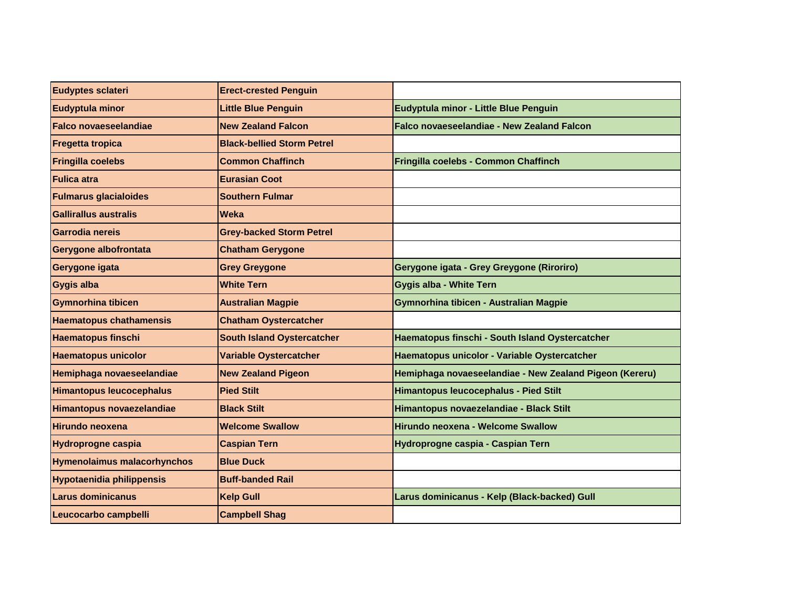| Eudyptes sclateri                  | <b>Erect-crested Penguin</b>      |                                                         |
|------------------------------------|-----------------------------------|---------------------------------------------------------|
| Eudyptula minor                    | <b>Little Blue Penguin</b>        | Eudyptula minor - Little Blue Penguin                   |
| <b>Falco novaeseelandiae</b>       | <b>New Zealand Falcon</b>         | Falco novaeseelandiae - New Zealand Falcon              |
| <b>Fregetta tropica</b>            | <b>Black-bellied Storm Petrel</b> |                                                         |
| <b>Fringilla coelebs</b>           | <b>Common Chaffinch</b>           | Fringilla coelebs - Common Chaffinch                    |
| <b>Fulica atra</b>                 | <b>Eurasian Coot</b>              |                                                         |
| <b>Fulmarus glacialoides</b>       | <b>Southern Fulmar</b>            |                                                         |
| Gallirallus australis              | <b>Weka</b>                       |                                                         |
| Garrodia nereis                    | <b>Grey-backed Storm Petrel</b>   |                                                         |
| Gerygone albofrontata              | <b>Chatham Gerygone</b>           |                                                         |
| Gerygone igata                     | <b>Grey Greygone</b>              | Gerygone igata - Grey Greygone (Riroriro)               |
| <b>Gygis alba</b>                  | <b>White Tern</b>                 | <b>Gygis alba - White Tern</b>                          |
| <b>Gymnorhina tibicen</b>          | <b>Australian Magpie</b>          | Gymnorhina tibicen - Australian Magpie                  |
| <b>Haematopus chathamensis</b>     | <b>Chatham Oystercatcher</b>      |                                                         |
| <b>Haematopus finschi</b>          | <b>South Island Oystercatcher</b> | Haematopus finschi - South Island Oystercatcher         |
| <b>Haematopus unicolor</b>         | <b>Variable Oystercatcher</b>     | Haematopus unicolor - Variable Oystercatcher            |
| Hemiphaga novaeseelandiae          | <b>New Zealand Pigeon</b>         | Hemiphaga novaeseelandiae - New Zealand Pigeon (Kereru) |
| <b>Himantopus leucocephalus</b>    | <b>Pied Stilt</b>                 | Himantopus leucocephalus - Pied Stilt                   |
| Himantopus novaezelandiae          | <b>Black Stilt</b>                | Himantopus novaezelandiae - Black Stilt                 |
| <b>Hirundo neoxena</b>             | <b>Welcome Swallow</b>            | Hirundo neoxena - Welcome Swallow                       |
| <b>Hydroprogne caspia</b>          | <b>Caspian Tern</b>               | Hydroprogne caspia - Caspian Tern                       |
| <b>Hymenolaimus malacorhynchos</b> | <b>Blue Duck</b>                  |                                                         |
| <b>Hypotaenidia philippensis</b>   | <b>Buff-banded Rail</b>           |                                                         |
| <b>Larus dominicanus</b>           | <b>Kelp Gull</b>                  | Larus dominicanus - Kelp (Black-backed) Gull            |
| Leucocarbo campbelli               | <b>Campbell Shag</b>              |                                                         |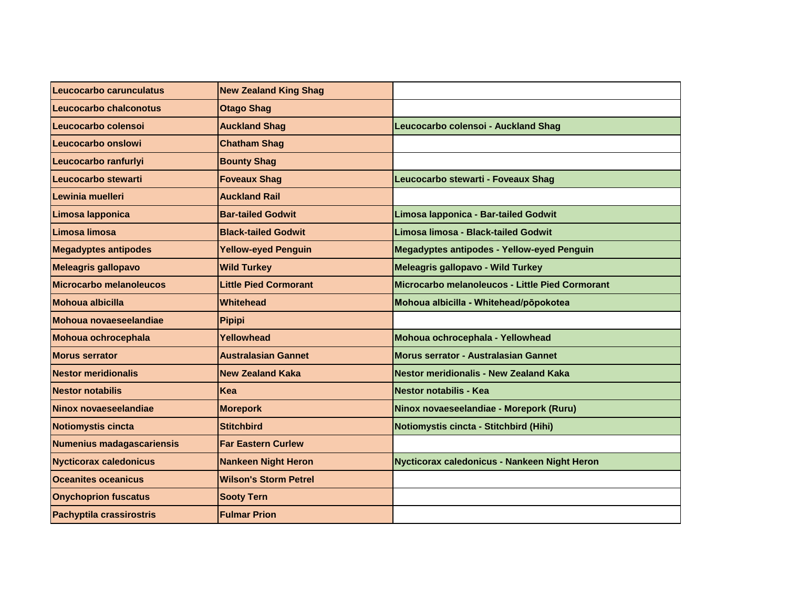| Leucocarbo carunculatus         | <b>New Zealand King Shag</b> |                                                   |
|---------------------------------|------------------------------|---------------------------------------------------|
| <b>Leucocarbo chalconotus</b>   | <b>Otago Shag</b>            |                                                   |
| Leucocarbo colensoi             | <b>Auckland Shag</b>         | Leucocarbo colensoi - Auckland Shag               |
| Leucocarbo onslowi              | <b>Chatham Shag</b>          |                                                   |
| Leucocarbo ranfurlyi            | <b>Bounty Shag</b>           |                                                   |
| Leucocarbo stewarti             | <b>Foveaux Shag</b>          | Leucocarbo stewarti - Foveaux Shag                |
| Lewinia muelleri                | <b>Auckland Rail</b>         |                                                   |
| Limosa lapponica                | <b>Bar-tailed Godwit</b>     | Limosa lapponica - Bar-tailed Godwit              |
| Limosa limosa                   | <b>Black-tailed Godwit</b>   | Limosa limosa - Black-tailed Godwit               |
| <b>Megadyptes antipodes</b>     | <b>Yellow-eyed Penguin</b>   | <b>Megadyptes antipodes - Yellow-eyed Penguin</b> |
| <b>Meleagris gallopavo</b>      | <b>Wild Turkey</b>           | Meleagris gallopavo - Wild Turkey                 |
| Microcarbo melanoleucos         | <b>Little Pied Cormorant</b> | Microcarbo melanoleucos - Little Pied Cormorant   |
| Mohoua albicilla                | <b>Whitehead</b>             | Mohoua albicilla - Whitehead/pōpokotea            |
| Mohoua novaeseelandiae          | <b>Pipipi</b>                |                                                   |
| Mohoua ochrocephala             | Yellowhead                   | Mohoua ochrocephala - Yellowhead                  |
| <b>Morus serrator</b>           | <b>Australasian Gannet</b>   | Morus serrator - Australasian Gannet              |
| <b>Nestor meridionalis</b>      | <b>New Zealand Kaka</b>      | <b>Nestor meridionalis - New Zealand Kaka</b>     |
| <b>Nestor notabilis</b>         | Kea                          | Nestor notabilis - Kea                            |
| Ninox novaeseelandiae           | <b>Morepork</b>              | Ninox novaeseelandiae - Morepork (Ruru)           |
| <b>Notiomystis cincta</b>       | <b>Stitchbird</b>            | Notiomystis cincta - Stitchbird (Hihi)            |
| Numenius madagascariensis       | <b>Far Eastern Curlew</b>    |                                                   |
| <b>Nycticorax caledonicus</b>   | <b>Nankeen Night Heron</b>   | Nycticorax caledonicus - Nankeen Night Heron      |
| <b>Oceanites oceanicus</b>      | <b>Wilson's Storm Petrel</b> |                                                   |
| <b>Onychoprion fuscatus</b>     | <b>Sooty Tern</b>            |                                                   |
| <b>Pachyptila crassirostris</b> | <b>Fulmar Prion</b>          |                                                   |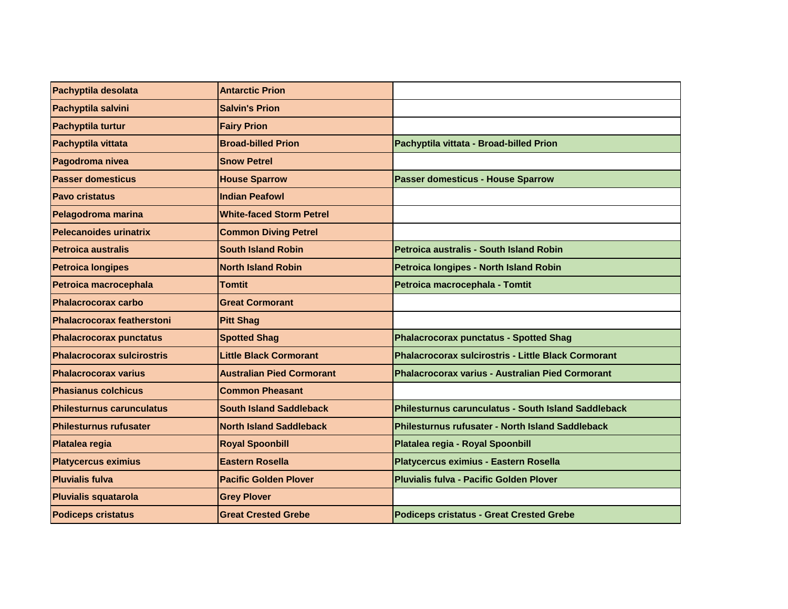| Pachyptila desolata               | <b>Antarctic Prion</b>           |                                                     |
|-----------------------------------|----------------------------------|-----------------------------------------------------|
| Pachyptila salvini                | <b>Salvin's Prion</b>            |                                                     |
| Pachyptila turtur                 | <b>Fairy Prion</b>               |                                                     |
| Pachyptila vittata                | <b>Broad-billed Prion</b>        | Pachyptila vittata - Broad-billed Prion             |
| Pagodroma nivea                   | <b>Snow Petrel</b>               |                                                     |
| <b>Passer domesticus</b>          | <b>House Sparrow</b>             | <b>Passer domesticus - House Sparrow</b>            |
| <b>Pavo cristatus</b>             | <b>Indian Peafowl</b>            |                                                     |
| Pelagodroma marina                | <b>White-faced Storm Petrel</b>  |                                                     |
| Pelecanoides urinatrix            | <b>Common Diving Petrel</b>      |                                                     |
| Petroica australis                | <b>South Island Robin</b>        | Petroica australis - South Island Robin             |
| <b>Petroica longipes</b>          | <b>North Island Robin</b>        | Petroica longipes - North Island Robin              |
| Petroica macrocephala             | <b>Tomtit</b>                    | Petroica macrocephala - Tomtit                      |
| <b>Phalacrocorax carbo</b>        | <b>Great Cormorant</b>           |                                                     |
| <b>Phalacrocorax featherstoni</b> | <b>Pitt Shag</b>                 |                                                     |
| <b>Phalacrocorax punctatus</b>    | <b>Spotted Shag</b>              | Phalacrocorax punctatus - Spotted Shag              |
| <b>Phalacrocorax sulcirostris</b> | <b>Little Black Cormorant</b>    | Phalacrocorax sulcirostris - Little Black Cormorant |
| <b>Phalacrocorax varius</b>       | <b>Australian Pied Cormorant</b> | Phalacrocorax varius - Australian Pied Cormorant    |
| <b>Phasianus colchicus</b>        | <b>Common Pheasant</b>           |                                                     |
| <b>Philesturnus carunculatus</b>  | <b>South Island Saddleback</b>   | Philesturnus carunculatus - South Island Saddleback |
| <b>Philesturnus rufusater</b>     | <b>North Island Saddleback</b>   | Philesturnus rufusater - North Island Saddleback    |
| Platalea regia                    | <b>Royal Spoonbill</b>           | Platalea regia - Royal Spoonbill                    |
| <b>Platycercus eximius</b>        | <b>Eastern Rosella</b>           | Platycercus eximius - Eastern Rosella               |
| <b>Pluvialis fulva</b>            | <b>Pacific Golden Plover</b>     | Pluvialis fulva - Pacific Golden Plover             |
| <b>Pluvialis squatarola</b>       | <b>Grey Plover</b>               |                                                     |
| <b>Podiceps cristatus</b>         | <b>Great Crested Grebe</b>       | <b>Podiceps cristatus - Great Crested Grebe</b>     |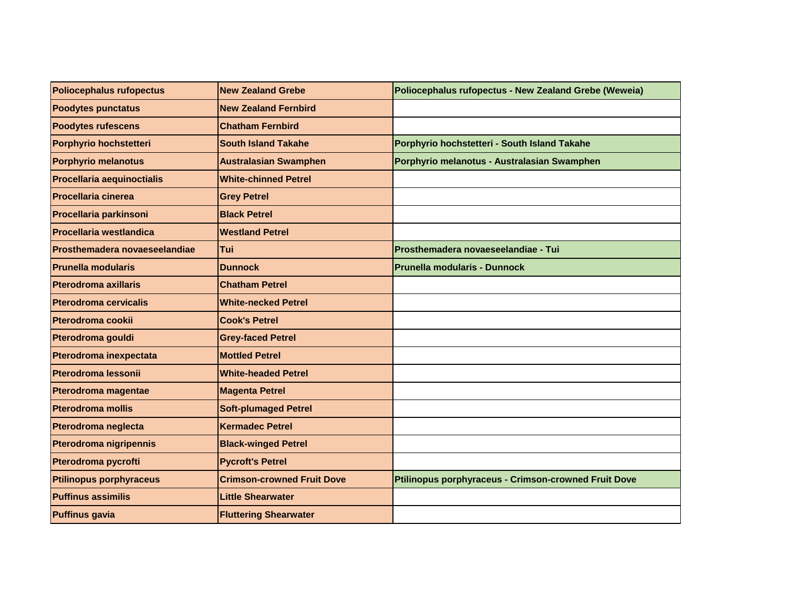| <b>Poliocephalus rufopectus</b>   | <b>New Zealand Grebe</b>          | Poliocephalus rufopectus - New Zealand Grebe (Weweia)       |
|-----------------------------------|-----------------------------------|-------------------------------------------------------------|
| <b>Poodytes punctatus</b>         | <b>New Zealand Fernbird</b>       |                                                             |
| <b>Poodytes rufescens</b>         | <b>Chatham Fernbird</b>           |                                                             |
| Porphyrio hochstetteri            | <b>South Island Takahe</b>        | Porphyrio hochstetteri - South Island Takahe                |
| <b>Porphyrio melanotus</b>        | <b>Australasian Swamphen</b>      | Porphyrio melanotus - Australasian Swamphen                 |
| <b>Procellaria aequinoctialis</b> | <b>White-chinned Petrel</b>       |                                                             |
| <b>Procellaria cinerea</b>        | <b>Grey Petrel</b>                |                                                             |
| <b>Procellaria parkinsoni</b>     | <b>Black Petrel</b>               |                                                             |
| <b>Procellaria westlandica</b>    | <b>Westland Petrel</b>            |                                                             |
| Prosthemadera novaeseelandiae     | Tui                               | Prosthemadera novaeseelandiae - Tui                         |
| <b>Prunella modularis</b>         | <b>Dunnock</b>                    | <b>Prunella modularis - Dunnock</b>                         |
| <b>Pterodroma axillaris</b>       | <b>Chatham Petrel</b>             |                                                             |
| <b>Pterodroma cervicalis</b>      | <b>White-necked Petrel</b>        |                                                             |
| Pterodroma cookii                 | <b>Cook's Petrel</b>              |                                                             |
| Pterodroma gouldi                 | <b>Grey-faced Petrel</b>          |                                                             |
| Pterodroma inexpectata            | <b>Mottled Petrel</b>             |                                                             |
| Pterodroma lessonii               | <b>White-headed Petrel</b>        |                                                             |
| <b>Pterodroma magentae</b>        | <b>Magenta Petrel</b>             |                                                             |
| <b>Pterodroma mollis</b>          | <b>Soft-plumaged Petrel</b>       |                                                             |
| Pterodroma neglecta               | <b>Kermadec Petrel</b>            |                                                             |
| Pterodroma nigripennis            | <b>Black-winged Petrel</b>        |                                                             |
| Pterodroma pycrofti               | <b>Pycroft's Petrel</b>           |                                                             |
| <b>Ptilinopus porphyraceus</b>    | <b>Crimson-crowned Fruit Dove</b> | <b>Ptilinopus porphyraceus - Crimson-crowned Fruit Dove</b> |
| <b>Puffinus assimilis</b>         | <b>Little Shearwater</b>          |                                                             |
| <b>Puffinus gavia</b>             | <b>Fluttering Shearwater</b>      |                                                             |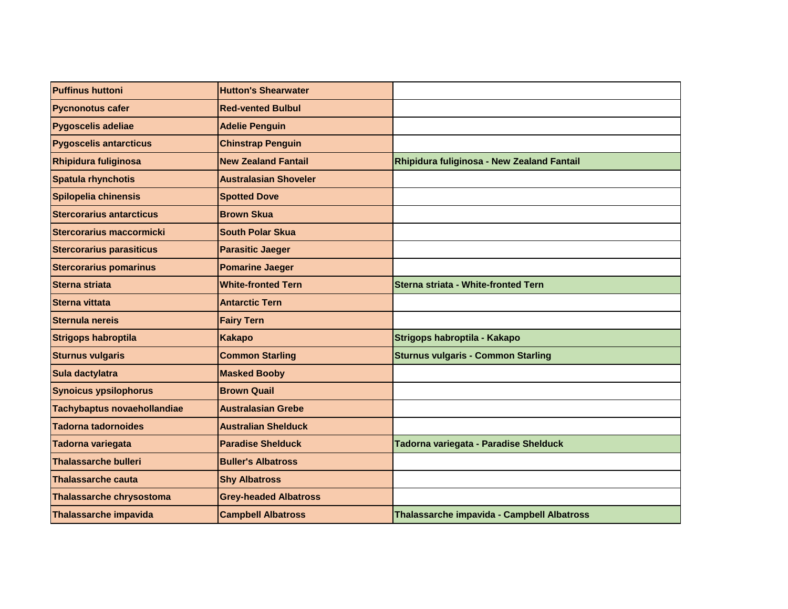| <b>Puffinus huttoni</b>         | <b>Hutton's Shearwater</b>   |                                            |
|---------------------------------|------------------------------|--------------------------------------------|
| <b>Pycnonotus cafer</b>         | <b>Red-vented Bulbul</b>     |                                            |
| Pygoscelis adeliae              | <b>Adelie Penguin</b>        |                                            |
| <b>Pygoscelis antarcticus</b>   | <b>Chinstrap Penguin</b>     |                                            |
| <b>Rhipidura fuliginosa</b>     | <b>New Zealand Fantail</b>   | Rhipidura fuliginosa - New Zealand Fantail |
| Spatula rhynchotis              | <b>Australasian Shoveler</b> |                                            |
| Spilopelia chinensis            | <b>Spotted Dove</b>          |                                            |
| <b>Stercorarius antarcticus</b> | <b>Brown Skua</b>            |                                            |
| Stercorarius maccormicki        | <b>South Polar Skua</b>      |                                            |
| <b>Stercorarius parasiticus</b> | <b>Parasitic Jaeger</b>      |                                            |
| <b>Stercorarius pomarinus</b>   | <b>Pomarine Jaeger</b>       |                                            |
| Sterna striata                  | <b>White-fronted Tern</b>    | Sterna striata - White-fronted Tern        |
| Sterna vittata                  | <b>Antarctic Tern</b>        |                                            |
| Sternula nereis                 | <b>Fairy Tern</b>            |                                            |
| <b>Strigops habroptila</b>      | <b>Kakapo</b>                | Strigops habroptila - Kakapo               |
| <b>Sturnus vulgaris</b>         | <b>Common Starling</b>       | <b>Sturnus vulgaris - Common Starling</b>  |
| Sula dactylatra                 | <b>Masked Booby</b>          |                                            |
| <b>Synoicus ypsilophorus</b>    | <b>Brown Quail</b>           |                                            |
| Tachybaptus novaehollandiae     | <b>Australasian Grebe</b>    |                                            |
| <b>Tadorna tadornoides</b>      | <b>Australian Shelduck</b>   |                                            |
| Tadorna variegata               | <b>Paradise Shelduck</b>     | Tadorna variegata - Paradise Shelduck      |
| <b>Thalassarche bulleri</b>     | <b>Buller's Albatross</b>    |                                            |
| Thalassarche cauta              | <b>Shy Albatross</b>         |                                            |
| Thalassarche chrysostoma        | <b>Grey-headed Albatross</b> |                                            |
| <b>Thalassarche impavida</b>    | <b>Campbell Albatross</b>    | Thalassarche impavida - Campbell Albatross |